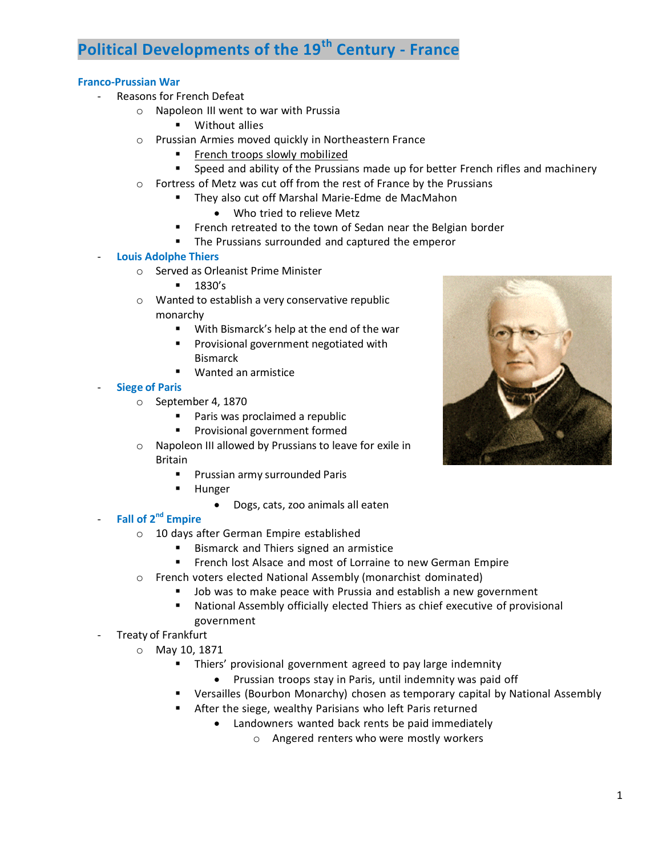# **Political Developments of the 19th Century - France**

### **Franco-Prussian War**

- Reasons for French Defeat
	- o Napoleon III went to war with Prussia
		- **•** Without allies
	- o Prussian Armies moved quickly in Northeastern France
		- French troops slowly mobilized
		- Speed and ability of the Prussians made up for better French rifles and machinery
	- o Fortress of Metz was cut off from the rest of France by the Prussians
		- **They also cut off Marshal Marie-Edme de MacMahon** 
			- Who tried to relieve Metz
		- **French retreated to the town of Sedan near the Belgian border**
		- **The Prussians surrounded and captured the emperor**

#### - **Louis Adolphe Thiers**

- o Served as Orleanist Prime Minister
	- **1830's**
- o Wanted to establish a very conservative republic monarchy
	- With Bismarck's help at the end of the war
	- **Provisional government negotiated with** Bismarck
	- Wanted an armistice

#### - **Siege of Paris**

- o September 4, 1870
	- **Paris was proclaimed a republic**
	- **Provisional government formed**
- o Napoleon III allowed by Prussians to leave for exile in Britain
	- Prussian army surrounded Paris
	- **-** Hunger
		- Dogs, cats, zoo animals all eaten

## - **Fall of 2nd Empire**

- o 10 days after German Empire established
	- **Bismarck and Thiers signed an armistice**
	- French lost Alsace and most of Lorraine to new German Empire
- o French voters elected National Assembly (monarchist dominated)
	- **Job was to make peace with Prussia and establish a new government**
	- National Assembly officially elected Thiers as chief executive of provisional government
- Treaty of Frankfurt
	- o May 10, 1871
		- Thiers' provisional government agreed to pay large indemnity
			- Prussian troops stay in Paris, until indemnity was paid off
		- Versailles (Bourbon Monarchy) chosen as temporary capital by National Assembly
		- After the siege, wealthy Parisians who left Paris returned
			- Landowners wanted back rents be paid immediately
				- o Angered renters who were mostly workers

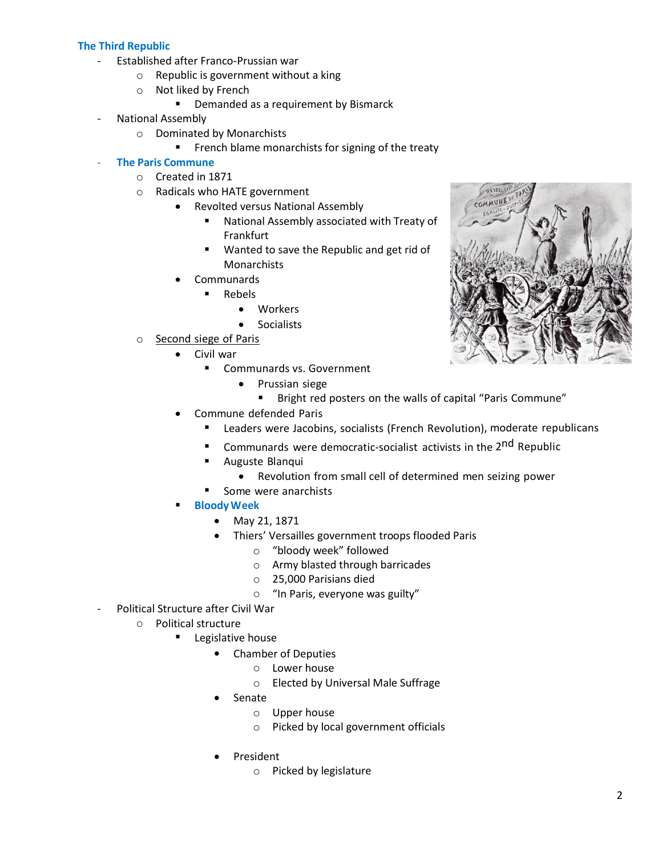## **The Third Republic**

- Established after Franco-Prussian war
	- o Republic is government without a king
	- o Not liked by French
		- Demanded as a requirement by Bismarck
- National Assembly
	- o Dominated by Monarchists
		- **French blame monarchists for signing of the treaty**

## - **The Paris Commune**

- o Created in 1871
- o Radicals who HATE government
	- Revolted versus National Assembly
		- National Assembly associated with Treaty of Frankfurt
		- **Wanted to save the Republic and get rid of Monarchists**
	- Communards
		- **Rebels** 
			- Workers
			- **•** Socialists
- o Second siege of Paris
	- Civil war
		- Communards vs. Government
			- Prussian siege
				- **Bright red posters on the walls of capital "Paris Commune"**
	- Commune defended Paris
		- **E** Leaders were Jacobins, socialists (French Revolution), moderate republicans
		- Communards were democratic-socialist activists in the 2<sup>nd</sup> Republic
		- **Auguste Blanqui** 
			- Revolution from small cell of determined men seizing power
		- **Some were anarchists**
	- **BloodyWeek**
		- May 21, 1871
		- Thiers' Versailles government troops flooded Paris
			- o "bloody week" followed
			- o Army blasted through barricades
			- o 25,000 Parisians died
			- o "In Paris, everyone was guilty"
- Political Structure after Civil War
	- o Political structure
		- Legislative house
			- Chamber of Deputies
				- o Lower house
				- o Elected by Universal Male Suffrage
			- Senate
				- o Upper house
				- o Picked by local government officials
			- President
				- o Picked by legislature

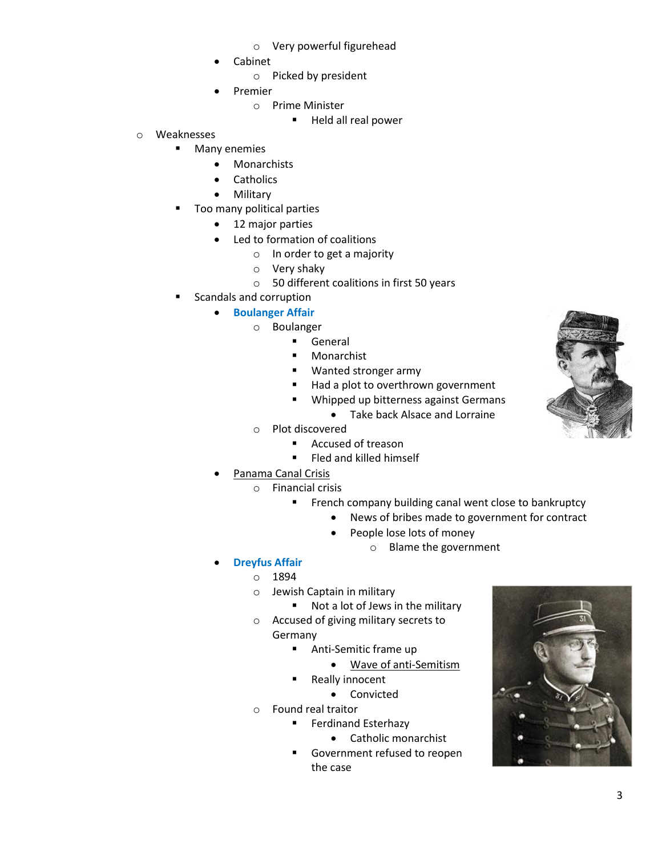- o Very powerful figurehead
- Cabinet
	- o Picked by president
- Premier
	- o Prime Minister
		- Held all real power
- o Weaknesses
	- **Many enemies** 
		- Monarchists
		- **Catholics**
		- Military
	- Too many political parties
		- 12 major parties
		- Led to formation of coalitions
			- o In order to get a majority
			- o Very shaky
			- o 50 different coalitions in first 50 years
	- Scandals and corruption
		- **•** Boulanger Affair
			- o Boulanger
				- **General**
				- **Monarchist**
				- **Wanted stronger army**
				- Had a plot to overthrown government
				- **Whipped up bitterness against Germans** 
					- Take back Alsace and Lorraine
			- o Plot discovered
				- Accused of treason
				- **Fled and killed himself**
		- Panama Canal Crisis
			- o Financial crisis
				- **French company building canal went close to bankruptcy** 
					- News of bribes made to government for contract
					- People lose lots of money
						- o Blame the government
		- **Dreyfus Affair**
			- o 1894
			- o Jewish Captain in military
				- Not a lot of Jews in the military
			- o Accused of giving military secrets to Germany
				- **Anti-Semitic frame up** 
					- Wave of anti-Semitism
				- Really innocent
					- Convicted
			- o Found real traitor
				- **Ferdinand Esterhazy** 
					- Catholic monarchist
				- **Government refused to reopen** the case